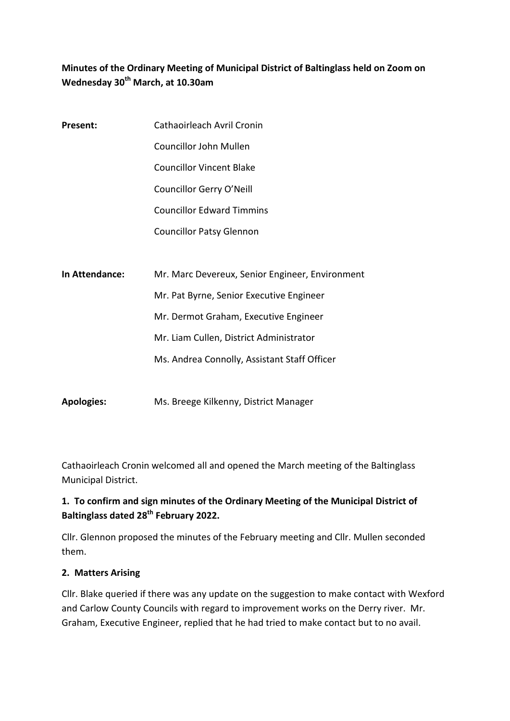# **Minutes of the Ordinary Meeting of Municipal District of Baltinglass held on Zoom on Wednesday 30th March, at 10.30am**

| <b>Present:</b> | Cathaoirleach Avril Cronin                      |
|-----------------|-------------------------------------------------|
|                 | <b>Councillor John Mullen</b>                   |
|                 | <b>Councillor Vincent Blake</b>                 |
|                 | Councillor Gerry O'Neill                        |
|                 | <b>Councillor Edward Timmins</b>                |
|                 | <b>Councillor Patsy Glennon</b>                 |
|                 |                                                 |
| In Attendance:  | Mr. Marc Devereux, Senior Engineer, Environment |
|                 | Mr. Pat Byrne, Senior Executive Engineer        |
|                 | Mr. Dermot Graham, Executive Engineer           |
|                 | Mr. Liam Cullen, District Administrator         |
|                 | Ms. Andrea Connolly, Assistant Staff Officer    |
|                 |                                                 |

**Apologies:** Ms. Breege Kilkenny, District Manager

Cathaoirleach Cronin welcomed all and opened the March meeting of the Baltinglass Municipal District.

# **1. To confirm and sign minutes of the Ordinary Meeting of the Municipal District of Baltinglass dated 28 th February 2022.**

Cllr. Glennon proposed the minutes of the February meeting and Cllr. Mullen seconded them.

## **2. Matters Arising**

Cllr. Blake queried if there was any update on the suggestion to make contact with Wexford and Carlow County Councils with regard to improvement works on the Derry river. Mr. Graham, Executive Engineer, replied that he had tried to make contact but to no avail.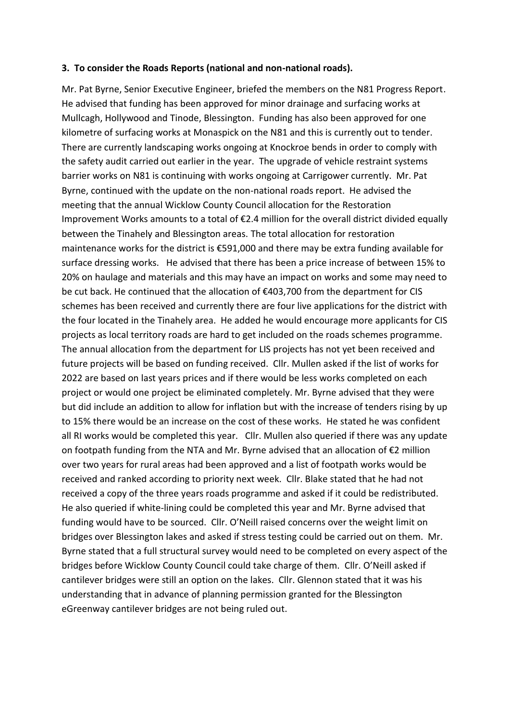#### **3. To consider the Roads Reports (national and non-national roads).**

Mr. Pat Byrne, Senior Executive Engineer, briefed the members on the N81 Progress Report. He advised that funding has been approved for minor drainage and surfacing works at Mullcagh, Hollywood and Tinode, Blessington. Funding has also been approved for one kilometre of surfacing works at Monaspick on the N81 and this is currently out to tender. There are currently landscaping works ongoing at Knockroe bends in order to comply with the safety audit carried out earlier in the year. The upgrade of vehicle restraint systems barrier works on N81 is continuing with works ongoing at Carrigower currently. Mr. Pat Byrne, continued with the update on the non-national roads report. He advised the meeting that the annual Wicklow County Council allocation for the Restoration Improvement Works amounts to a total of €2.4 million for the overall district divided equally between the Tinahely and Blessington areas. The total allocation for restoration maintenance works for the district is €591,000 and there may be extra funding available for surface dressing works. He advised that there has been a price increase of between 15% to 20% on haulage and materials and this may have an impact on works and some may need to be cut back. He continued that the allocation of €403,700 from the department for CIS schemes has been received and currently there are four live applications for the district with the four located in the Tinahely area. He added he would encourage more applicants for CIS projects as local territory roads are hard to get included on the roads schemes programme. The annual allocation from the department for LIS projects has not yet been received and future projects will be based on funding received. Cllr. Mullen asked if the list of works for 2022 are based on last years prices and if there would be less works completed on each project or would one project be eliminated completely. Mr. Byrne advised that they were but did include an addition to allow for inflation but with the increase of tenders rising by up to 15% there would be an increase on the cost of these works. He stated he was confident all RI works would be completed this year. Cllr. Mullen also queried if there was any update on footpath funding from the NTA and Mr. Byrne advised that an allocation of €2 million over two years for rural areas had been approved and a list of footpath works would be received and ranked according to priority next week. Cllr. Blake stated that he had not received a copy of the three years roads programme and asked if it could be redistributed. He also queried if white-lining could be completed this year and Mr. Byrne advised that funding would have to be sourced. Cllr. O'Neill raised concerns over the weight limit on bridges over Blessington lakes and asked if stress testing could be carried out on them. Mr. Byrne stated that a full structural survey would need to be completed on every aspect of the bridges before Wicklow County Council could take charge of them. Cllr. O'Neill asked if cantilever bridges were still an option on the lakes. Cllr. Glennon stated that it was his understanding that in advance of planning permission granted for the Blessington eGreenway cantilever bridges are not being ruled out.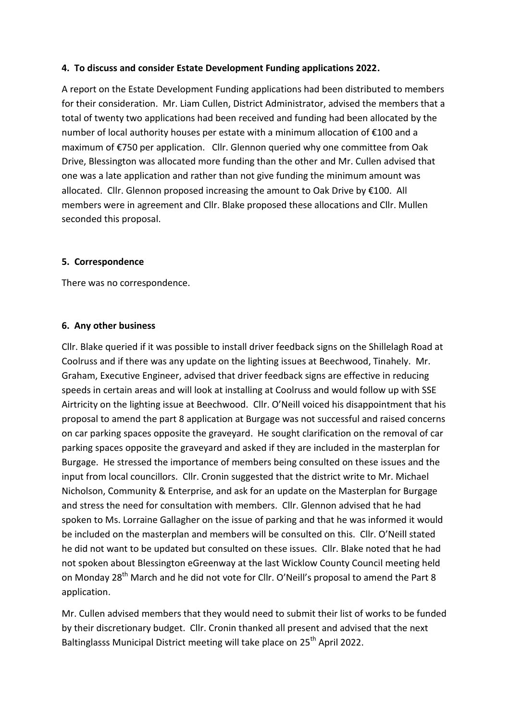## **4. To discuss and consider Estate Development Funding applications 2022.**

A report on the Estate Development Funding applications had been distributed to members for their consideration. Mr. Liam Cullen, District Administrator, advised the members that a total of twenty two applications had been received and funding had been allocated by the number of local authority houses per estate with a minimum allocation of €100 and a maximum of €750 per application. Cllr. Glennon queried why one committee from Oak Drive, Blessington was allocated more funding than the other and Mr. Cullen advised that one was a late application and rather than not give funding the minimum amount was allocated. Cllr. Glennon proposed increasing the amount to Oak Drive by €100. All members were in agreement and Cllr. Blake proposed these allocations and Cllr. Mullen seconded this proposal.

### **5. Correspondence**

There was no correspondence.

## **6. Any other business**

Cllr. Blake queried if it was possible to install driver feedback signs on the Shillelagh Road at Coolruss and if there was any update on the lighting issues at Beechwood, Tinahely. Mr. Graham, Executive Engineer, advised that driver feedback signs are effective in reducing speeds in certain areas and will look at installing at Coolruss and would follow up with SSE Airtricity on the lighting issue at Beechwood. Cllr. O'Neill voiced his disappointment that his proposal to amend the part 8 application at Burgage was not successful and raised concerns on car parking spaces opposite the graveyard. He sought clarification on the removal of car parking spaces opposite the graveyard and asked if they are included in the masterplan for Burgage. He stressed the importance of members being consulted on these issues and the input from local councillors. Cllr. Cronin suggested that the district write to Mr. Michael Nicholson, Community & Enterprise, and ask for an update on the Masterplan for Burgage and stress the need for consultation with members. Cllr. Glennon advised that he had spoken to Ms. Lorraine Gallagher on the issue of parking and that he was informed it would be included on the masterplan and members will be consulted on this. Cllr. O'Neill stated he did not want to be updated but consulted on these issues. Cllr. Blake noted that he had not spoken about Blessington eGreenway at the last Wicklow County Council meeting held on Monday 28<sup>th</sup> March and he did not vote for Cllr. O'Neill's proposal to amend the Part 8 application.

Mr. Cullen advised members that they would need to submit their list of works to be funded by their discretionary budget. Cllr. Cronin thanked all present and advised that the next Baltinglasss Municipal District meeting will take place on 25<sup>th</sup> April 2022.